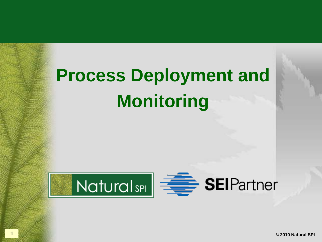

**1 © 2010 Natural SPI**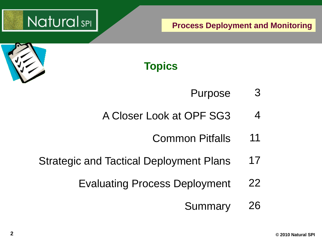



## **Topics**

- Purpose 3
- A Closer Look at OPF SG3 4
	- Common Pitfalls 11
- Strategic and Tactical Deployment Plans 17
	- Evaluating Process Deployment 22
		- Summary 26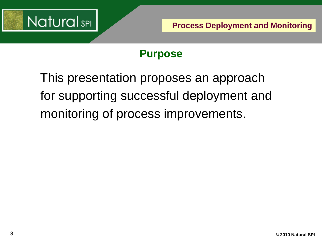

#### **Purpose**

This presentation proposes an approach for supporting successful deployment and monitoring of process improvements.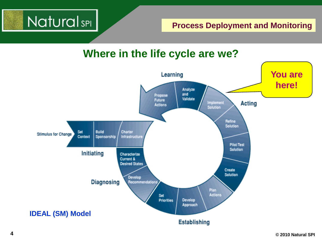

#### **Where in the life cycle are we?**

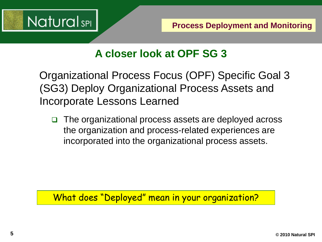

#### **A closer look at OPF SG 3**

Organizational Process Focus (OPF) Specific Goal 3 (SG3) Deploy Organizational Process Assets and Incorporate Lessons Learned

□ The organizational process assets are deployed across the organization and process-related experiences are incorporated into the organizational process assets.

What does "Deployed" mean in your organization?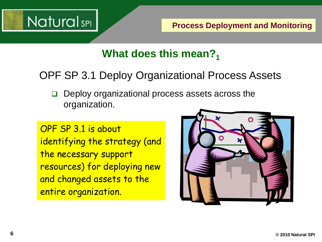

### What does this mean?<sub>1</sub>

#### OPF SP 3.1 Deploy Organizational Process Assets

 $\Box$  Deploy organizational process assets across the organization.

OPF SP 3.1 is about identifying the strategy (and the necessary support resources) for deploying new and changed assets to the entire organization.

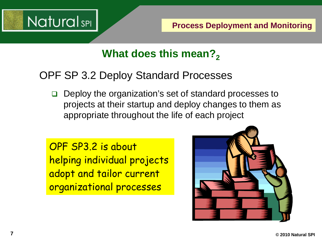

#### **What does this mean?**

#### OPF SP 3.2 Deploy Standard Processes

**□** Deploy the organization's set of standard processes to projects at their startup and deploy changes to them as appropriate throughout the life of each project

OPF SP3.2 is about helping individual projects adopt and tailor current organizational processes

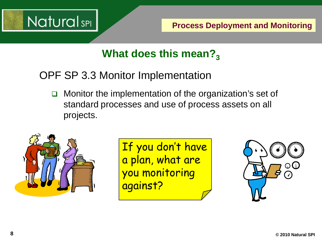

## **What does this mean?**<sub>3</sub>

OPF SP 3.3 Monitor Implementation

**O** Monitor the implementation of the organization's set of standard processes and use of process assets on all projects.



If you don't have a plan, what are you monitoring against?

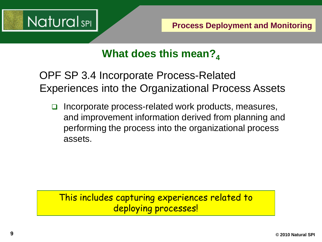

## What does this mean?<sub>4</sub>

OPF SP 3.4 Incorporate Process-Related Experiences into the Organizational Process Assets

 $\Box$  Incorporate process-related work products, measures, and improvement information derived from planning and performing the process into the organizational process assets.

This includes capturing experiences related to deploying processes!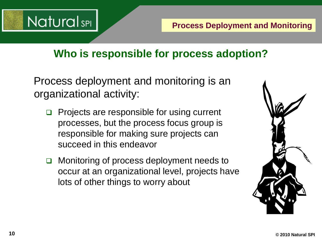

#### **Who is responsible for process adoption?**

Process deployment and monitoring is an organizational activity:

- Projects are responsible for using current processes, but the process focus group is responsible for making sure projects can succeed in this endeavor
- □ Monitoring of process deployment needs to occur at an organizational level, projects have lots of other things to worry about

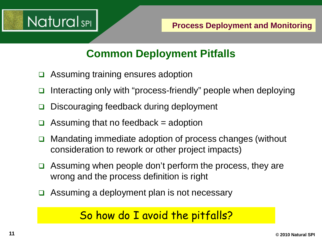

## **Common Deployment Pitfalls**

- Assuming training ensures adoption
- Interacting only with "process-friendly" people when deploying
- Discouraging feedback during deployment
- Assuming that no feedback  $=$  adoption
- □ Mandating immediate adoption of process changes (without consideration to rework or other project impacts)
- $\Box$  Assuming when people don't perform the process, they are wrong and the process definition is right
- $\Box$  Assuming a deployment plan is not necessary

## So how do I avoid the pitfalls?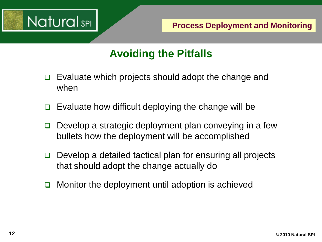

## **Avoiding the Pitfalls**

- $\Box$  Evaluate which projects should adopt the change and when
- $\Box$  Evaluate how difficult deploying the change will be
- $\Box$  Develop a strategic deployment plan conveying in a few bullets how the deployment will be accomplished
- □ Develop a detailed tactical plan for ensuring all projects that should adopt the change actually do
- $\Box$  Monitor the deployment until adoption is achieved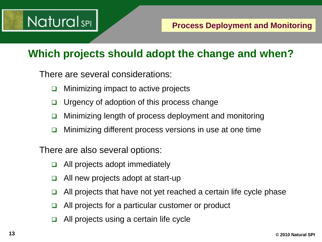## **Natural**sPI

#### **Which projects should adopt the change and when?**

There are several considerations:

- $\Box$  Minimizing impact to active projects
- $\Box$  Urgency of adoption of this process change
- $\Box$  Minimizing length of process deployment and monitoring
- $\Box$  Minimizing different process versions in use at one time

There are also several options:

- $\Box$  All projects adopt immediately
- $\Box$  All new projects adopt at start-up
- $\Box$  All projects that have not yet reached a certain life cycle phase
- $\Box$  All projects for a particular customer or product
- All projects using a certain life cycle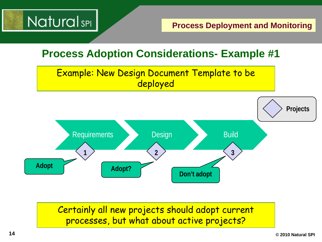

#### **Process Adoption Considerations- Example #1**





Certainly all new projects should adopt current processes, but what about active projects?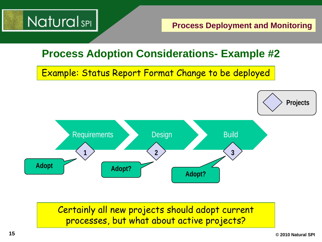

#### **Process Adoption Considerations- Example #2**

Example: Status Report Format Change to be deployed



#### Certainly all new projects should adopt current processes, but what about active projects?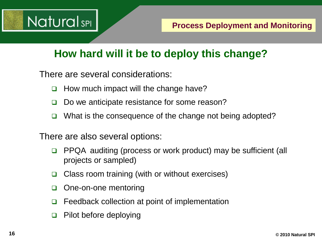

### **How hard will it be to deploy this change?**

There are several considerations:

- $\Box$  How much impact will the change have?
- $\Box$  Do we anticipate resistance for some reason?
- □ What is the consequence of the change not being adopted?

There are also several options:

- **PPQA** auditing (process or work product) may be sufficient (all projects or sampled)
- $\Box$  Class room training (with or without exercises)
- □ One-on-one mentoring
- $\Box$  Feedback collection at point of implementation
- $\Box$  Pilot before deploying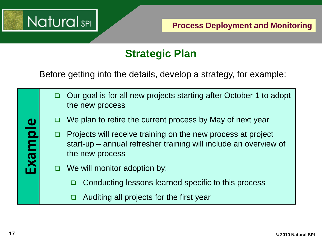

### **Strategic Plan**

Before getting into the details, develop a strategy, for example:

- □ Our goal is for all new projects starting after October 1 to adopt the new process
- We plan to retire the current process by May of next year
- $\Box$  Projects will receive training on the new process at project start-up – annual refresher training will include an overview of the new process
- $\Box$  We will monitor adoption by:
	- $\Box$  Conducting lessons learned specific to this process
	- Auditing all projects for the first year

**Example**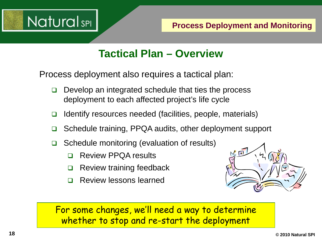

#### **Tactical Plan – Overview**

Process deployment also requires a tactical plan:

- $\Box$  Develop an integrated schedule that ties the process deployment to each affected project's life cycle
- $\Box$  Identify resources needed (facilities, people, materials)
- **□** Schedule training, PPQA audits, other deployment support
- $\Box$  Schedule monitoring (evaluation of results)
	- Review PPQA results
	- $\Box$  Review training feedback
	- **Review lessons learned**



For some changes, we'll need a way to determine whether to stop and re-start the deployment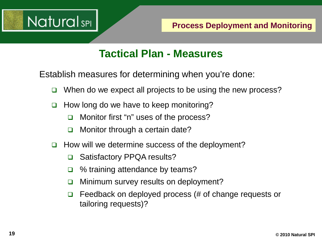

#### **Tactical Plan - Measures**

Establish measures for determining when you're done:

- $\Box$  When do we expect all projects to be using the new process?
- $\Box$  How long do we have to keep monitoring?
	- □ Monitor first "n" uses of the process?
	- **O** Monitor through a certain date?
- $\Box$  How will we determine success of the deployment?
	- **□** Satisfactory PPQA results?
	- $\Box$  % training attendance by teams?
	- **D** Minimum survey results on deployment?
	- $\Box$  Feedback on deployed process (# of change requests or tailoring requests)?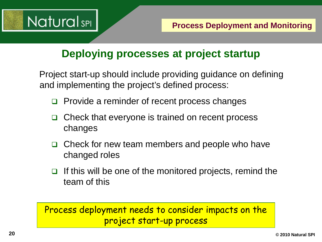

#### **Deploying processes at project startup**

Project start-up should include providing guidance on defining and implementing the project's defined process:

- $\Box$  Provide a reminder of recent process changes
- Check that everyone is trained on recent process changes
- $\Box$  Check for new team members and people who have changed roles
- If this will be one of the monitored projects, remind the team of this

#### Process deployment needs to consider impacts on the project start-up process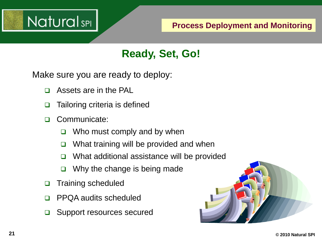

### **Ready, Set, Go!**

Make sure you are ready to deploy:

- Assets are in the PAL
- $\Box$  Tailoring criteria is defined
- Communicate:
	- $\Box$  Who must comply and by when
	- $\Box$  What training will be provided and when
	- $\Box$  What additional assistance will be provided
	- $\Box$  Why the change is being made
- □ Training scheduled
- PPQA audits scheduled
- **□** Support resources secured

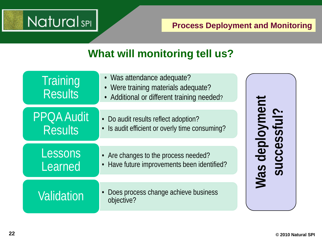## **NaturalsPI**

#### **Process Deployment and Monitoring**

#### **What will monitoring tell us?**

| Training<br><b>Results</b>          | • Was attendance adequate?<br>• Were training materials adequate?<br>• Additional or different training needed? |                                     |
|-------------------------------------|-----------------------------------------------------------------------------------------------------------------|-------------------------------------|
| <b>PPOA Audit</b><br><b>Results</b> | • Do audit results reflect adoption?<br>• Is audit efficient or overly time consuming?                          | yment<br>ful?                       |
| Lessons<br>Learned                  | • Are changes to the process needed?<br>• Have future improvements been identified?                             | dep<br>$\overline{C}$<br><b>Mas</b> |
| <b>Validation</b>                   | Does process change achieve business<br>objective?                                                              |                                     |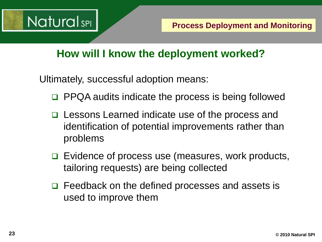

#### **How will I know the deployment worked?**

Ultimately, successful adoption means:

- PPQA audits indicate the process is being followed
- **□ Lessons Learned indicate use of the process and** identification of potential improvements rather than problems
- $\Box$  Evidence of process use (measures, work products, tailoring requests) are being collected
- $\Box$  Feedback on the defined processes and assets is used to improve them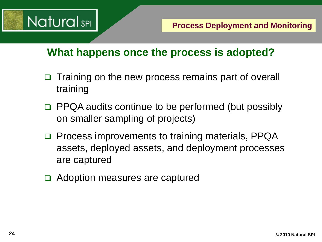

#### **What happens once the process is adopted?**

- □ Training on the new process remains part of overall training
- □ PPQA audits continue to be performed (but possibly on smaller sampling of projects)
- □ Process improvements to training materials, PPQA assets, deployed assets, and deployment processes are captured
- Adoption measures are captured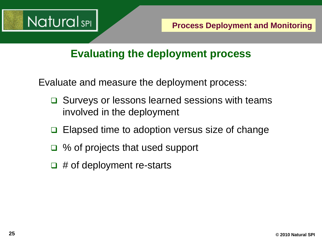

#### **Evaluating the deployment process**

Evaluate and measure the deployment process:

- **□** Surveys or lessons learned sessions with teams involved in the deployment
- Elapsed time to adoption versus size of change
- □ % of projects that used support
- $\Box$  # of deployment re-starts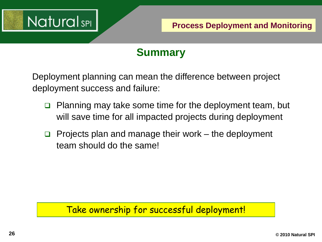

### **Summary**

Deployment planning can mean the difference between project deployment success and failure:

- **Planning may take some time for the deployment team, but** will save time for all impacted projects during deployment
- **Projects plan and manage their work** the deployment team should do the same!

#### Take ownership for successful deployment!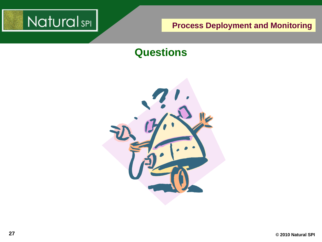

#### **Questions**